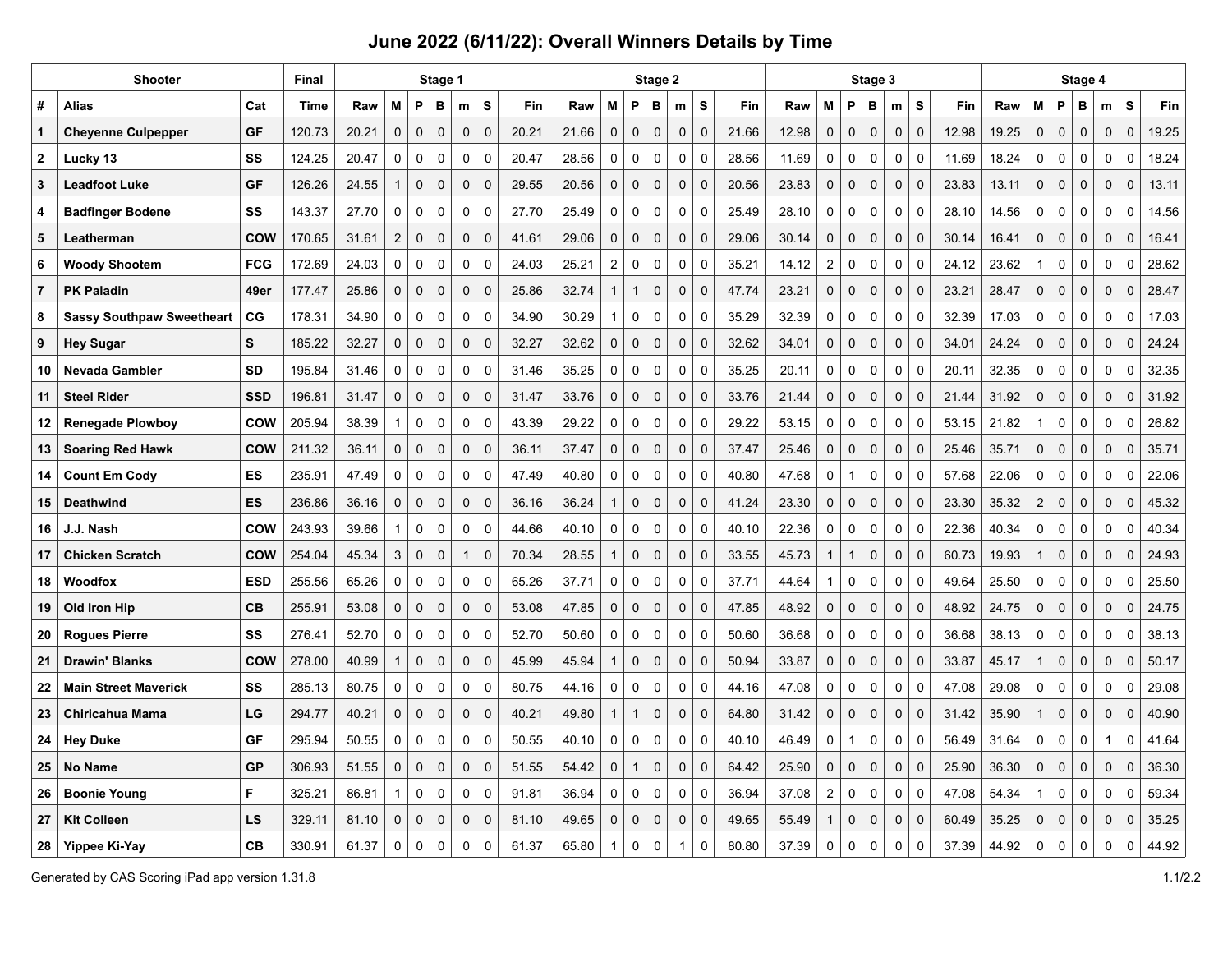|                  | Shooter                          | <b>Final</b> | Stage 1 |       |                |             |              |              |             | Stage 2 |       |                |                     |             |  |                            |       |       |                | Stage 3      |                     |             |             | Stage 4 |       |                  |              |             |              |             |       |
|------------------|----------------------------------|--------------|---------|-------|----------------|-------------|--------------|--------------|-------------|---------|-------|----------------|---------------------|-------------|--|----------------------------|-------|-------|----------------|--------------|---------------------|-------------|-------------|---------|-------|------------------|--------------|-------------|--------------|-------------|-------|
| #                | Alias                            | Cat          | Time    | Raw   | M              | P           | в            | m            | ${\sf s}$   | Fin     | Raw   | M              | P                   | в           |  | S<br>m                     | Fin   | Raw   | M              | P            | в                   | m           | s           | Fin     | Raw   | M                | P            | В           | m            | s           | Fin   |
| $\mathbf{1}$     | <b>Cheyenne Culpepper</b>        | GF           | 120.73  | 20.21 | $\mathbf 0$    | 0           | $\mathbf 0$  | $\mathbf 0$  | $\mathbf 0$ | 20.21   | 21.66 | $\mathbf 0$    | $\pmb{0}$           | $\mathbf 0$ |  | $\mathbf 0$<br>$\mathbf 0$ | 21.66 | 12.98 | $\mathbf 0$    | $\pmb{0}$    | $\mathbf 0$         | $\mathbf 0$ | $\mathbf 0$ | 12.98   | 19.25 | $\mathbf 0$      | $\pmb{0}$    | 0           | $\mathbf 0$  | $\mathbf 0$ | 19.25 |
| $\boldsymbol{2}$ | Lucky 13                         | SS           | 124.25  | 20.47 | $\mathbf 0$    | 0           | 0            | $\mathbf 0$  | $\pmb{0}$   | 20.47   | 28.56 | $\pmb{0}$      | 0                   | $\mathsf 0$ |  | $\pmb{0}$<br>$\mathbf 0$   | 28.56 | 11.69 | $\mathbf 0$    | 0            | $\mathsf{O}\xspace$ | $\pmb{0}$   | $\mathbf 0$ | 11.69   | 18.24 | $\pmb{0}$        | $\pmb{0}$    | 0           | $\pmb{0}$    | $\mathbf 0$ | 18.24 |
| 3                | <b>Leadfoot Luke</b>             | GF           | 126.26  | 24.55 | $\overline{1}$ | 0           | $\mathbf 0$  | $\mathbf 0$  | $\mathbf 0$ | 29.55   | 20.56 | $\mathbf 0$    | $\pmb{0}$           | $\mathbf 0$ |  | $\mathbf 0$<br>$\mathbf 0$ | 20.56 | 23.83 | $\mathbf 0$    | $\pmb{0}$    | $\mathbf 0$         | $\pmb{0}$   | $\mathbf 0$ | 23.83   | 13.11 | $\mathbf 0$      | $\mathbf{0}$ | 0           | $\mathbf 0$  | $\mathbf 0$ | 13.11 |
| 4                | <b>Badfinger Bodene</b>          | SS           | 143.37  | 27.70 | $\mathbf 0$    | 0           | $\mathbf 0$  | 0            | $\mathbf 0$ | 27.70   | 25.49 | $\mathbf 0$    | 0                   | $\mathbf 0$ |  | $\pmb{0}$<br>$\mathbf 0$   | 25.49 | 28.10 | $\mathbf 0$    | 0            | $\mathbf 0$         | $\pmb{0}$   | $\mathbf 0$ | 28.10   | 14.56 | $\mathbf 0$      | $\mathbf 0$  | 0           | $\mathbf 0$  | $\mathbf 0$ | 14.56 |
| 5                | Leatherman                       | <b>COW</b>   | 170.65  | 31.61 | $\overline{2}$ | 0           | $\mathbf 0$  | $\mathbf 0$  | $\mathbf 0$ | 41.61   | 29.06 | $\mathbf 0$    | $\pmb{0}$           | $\mathbf 0$ |  | $\mathbf 0$<br>$\mathbf 0$ | 29.06 | 30.14 | $\mathbf 0$    | $\pmb{0}$    | $\mathbf 0$         | $\mathbf 0$ | $\mathbf 0$ | 30.14   | 16.41 | $\mathbf 0$      | $\pmb{0}$    | 0           | $\mathbf 0$  | $\mathbf 0$ | 16.41 |
| 6                | <b>Woody Shootem</b>             | <b>FCG</b>   | 172.69  | 24.03 | $\mathbf 0$    | 0           | $\mathbf 0$  | $\mathbf 0$  | $\mathbf 0$ | 24.03   | 25.21 | $\overline{2}$ | 0                   | $\mathbf 0$ |  | $\pmb{0}$<br>$\mathbf 0$   | 35.21 | 14.12 | $\overline{2}$ | 0            | $\mathbf 0$         | $\pmb{0}$   | $\mathbf 0$ | 24.12   | 23.62 | $\overline{1}$   | $\mathbf 0$  | 0           | $\mathbf 0$  | $\mathbf 0$ | 28.62 |
| $\overline{7}$   | <b>PK Paladin</b>                | 49er         | 177.47  | 25.86 | $\mathbf 0$    | 0           | $\mathbf 0$  | $\mathbf 0$  | $\mathbf 0$ | 25.86   | 32.74 | $\mathbf{1}$   | $\mathbf{1}$        | $\mathbf 0$ |  | $\mathbf 0$<br>$\mathbf 0$ | 47.74 | 23.21 | $\mathbf 0$    | $\pmb{0}$    | $\mathbf 0$         | $\pmb{0}$   | $\mathbf 0$ | 23.21   | 28.47 | $\mathbf 0$      | $\pmb{0}$    | 0           | $\mathbf 0$  | $\mathbf 0$ | 28.47 |
| 8                | <b>Sassy Southpaw Sweetheart</b> | CG           | 178.31  | 34.90 | $\mathbf 0$    | 0           | $\pmb{0}$    | $\mathbf 0$  | $\mathbf 0$ | 34.90   | 30.29 | $\mathbf{1}$   | 0                   | $\mathbf 0$ |  | $\pmb{0}$<br>$\mathbf 0$   | 35.29 | 32.39 | $\mathbf 0$    | 0            | $\mathbf 0$         | $\mathbf 0$ | $\mathbf 0$ | 32.39   | 17.03 | 0                | $\mathbf 0$  | 0           | $\mathbf 0$  | $\mathbf 0$ | 17.03 |
| 9                | <b>Hey Sugar</b>                 | S            | 185.22  | 32.27 | $\mathbf 0$    | 0           | $\mathbf 0$  | $\mathbf 0$  | $\pmb{0}$   | 32.27   | 32.62 | $\mathbf 0$    | $\mathsf{O}\xspace$ | $\mathbf 0$ |  | $\mathbf 0$<br>$\mathbf 0$ | 32.62 | 34.01 | $\mathbf 0$    | 0            | $\mathbf 0$         | $\pmb{0}$   | $\mathbf 0$ | 34.01   | 24.24 | $\mathbf 0$      | $\pmb{0}$    | 0           | $\mathbf 0$  | $\mathbf 0$ | 24.24 |
| 10               | <b>Nevada Gambler</b>            | <b>SD</b>    | 195.84  | 31.46 | $\mathbf 0$    | 0           | $\mathbf 0$  | $\mathbf 0$  | $\mathbf 0$ | 31.46   | 35.25 | $\mathbf 0$    | 0                   | $\mathbf 0$ |  | $\mathbf 0$<br>$\mathbf 0$ | 35.25 | 20.11 | $\mathbf 0$    | 0            | $\mathbf 0$         | $\pmb{0}$   | $\mathbf 0$ | 20.11   | 32.35 | $\mathbf 0$      | $\mathbf 0$  | 0           | $\mathbf 0$  | $\mathbf 0$ | 32.35 |
| 11               | <b>Steel Rider</b>               | <b>SSD</b>   | 196.81  | 31.47 | $\mathbf 0$    | 0           | $\mathbf 0$  | $\mathbf 0$  | $\mathbf 0$ | 31.47   | 33.76 | $\mathbf 0$    | 0                   | $\mathbf 0$ |  | $\pmb{0}$<br>$\mathbf 0$   | 33.76 | 21.44 | 0              | 0            | $\mathbf 0$         | $\pmb{0}$   | $\mathbf 0$ | 21.44   | 31.92 | $\mathbf 0$      | $\pmb{0}$    | 0           | $\mathbf 0$  | $\mathbf 0$ | 31.92 |
| 12               | <b>Renegade Plowboy</b>          | <b>COW</b>   | 205.94  | 38.39 | 1              | 0           | 0            | $\mathbf 0$  | $\mathbf 0$ | 43.39   | 29.22 | $\mathbf 0$    | 0                   | $\mathbf 0$ |  | $\mathbf 0$<br>$\mathbf 0$ | 29.22 | 53.15 | $\mathbf 0$    | 0            | $\mathbf 0$         | $\pmb{0}$   | $\mathbf 0$ | 53.15   | 21.82 | $\mathbf 1$      | $\mathbf 0$  | 0           | $\pmb{0}$    | $\mathbf 0$ | 26.82 |
| 13               | <b>Soaring Red Hawk</b>          | <b>COW</b>   | 211.32  | 36.11 | $\mathbf 0$    | $\pmb{0}$   | $\mathsf 0$  | $\mathbf 0$  | $\mathbf 0$ | 36.11   | 37.47 | $\mathbf 0$    | $\pmb{0}$           | $\mathbf 0$ |  | $\mathbf 0$<br>$\mathbf 0$ | 37.47 | 25.46 | $\mathbf 0$    | $\pmb{0}$    | $\mathbf 0$         | $\pmb{0}$   | $\mathbf 0$ | 25.46   | 35.71 | $\mathbf 0$      | $\pmb{0}$    | 0           | $\mathsf 0$  | $\mathbf 0$ | 35.71 |
| 14               | <b>Count Em Cody</b>             | ES           | 235.91  | 47.49 | $\mathbf 0$    | 0           | $\mathbf 0$  | $\mathbf 0$  | $\mathbf 0$ | 47.49   | 40.80 | $\mathbf 0$    | 0                   | $\mathbf 0$ |  | 0<br>$\mathbf 0$           | 40.80 | 47.68 | $\mathbf 0$    | $\mathbf{1}$ | $\mathbf 0$         | $\mathbf 0$ | $\mathbf 0$ | 57.68   | 22.06 | 0                | $\mathbf 0$  | 0           | 0            | $\mathbf 0$ | 22.06 |
| 15               | <b>Deathwind</b>                 | ES           | 236.86  | 36.16 | $\mathbf 0$    | $\mathbf 0$ | $\mathbf 0$  | $\mathbf 0$  | $\Omega$    | 36.16   | 36.24 | -1             | $\mathbf 0$         | $\mathbf 0$ |  | $\mathbf 0$<br>$\Omega$    | 41.24 | 23.30 | $\Omega$       | $\mathbf 0$  | $\mathbf 0$         | $\mathbf 0$ | $\Omega$    | 23.30   | 35.32 | $\boldsymbol{2}$ | $\mathbf 0$  | 0           | $\mathbf 0$  | $\mathbf 0$ | 45.32 |
| 16               | J.J. Nash                        | <b>COW</b>   | 243.93  | 39.66 | -1             | 0           | 0            | $\mathbf 0$  | $\mathbf 0$ | 44.66   | 40.10 | 0              | 0                   | 0           |  | $\mathbf 0$<br>$\mathbf 0$ | 40.10 | 22.36 | $\mathbf 0$    | 0            | $\mathbf 0$         | $\mathbf 0$ | $\mathbf 0$ | 22.36   | 40.34 | 0                | 0            | 0           | 0            | $\mathbf 0$ | 40.34 |
| 17               | <b>Chicken Scratch</b>           | <b>COW</b>   | 254.04  | 45.34 | 3              | $\mathbf 0$ | $\mathbf 0$  | $\mathbf{1}$ | $\mathbf 0$ | 70.34   | 28.55 | $\overline{1}$ | $\mathbf 0$         | $\mathbf 0$ |  | $\mathbf 0$<br>$\mathbf 0$ | 33.55 | 45.73 | $\mathbf{1}$   | $\mathbf{1}$ | $\mathbf 0$         | $\pmb{0}$   | $\mathbf 0$ | 60.73   | 19.93 | $\mathbf{1}$     | $\mathbf 0$  | 0           | $\mathbf 0$  | $\mathbf 0$ | 24.93 |
| 18               | Woodfox                          | <b>ESD</b>   | 255.56  | 65.26 | $\mathbf 0$    | 0           | $\mathbf 0$  | $\mathbf 0$  | $\mathbf 0$ | 65.26   | 37.71 | $\mathbf 0$    | 0                   | $\mathbf 0$ |  | $\mathbf 0$<br>$\mathbf 0$ | 37.71 | 44.64 | -1             | 0            | $\mathbf 0$         | $\pmb{0}$   | $\mathbf 0$ | 49.64   | 25.50 | 0                | $\mathbf 0$  | 0           | 0            | $\mathbf 0$ | 25.50 |
| 19               | <b>Old Iron Hip</b>              | <b>CB</b>    | 255.91  | 53.08 | $\mathbf 0$    | $\mathbf 0$ | $\mathbf 0$  | $\mathbf 0$  | $\mathbf 0$ | 53.08   | 47.85 | $\mathbf 0$    | $\mathbf 0$         | $\mathbf 0$ |  | $\mathbf 0$<br>$\Omega$    | 47.85 | 48.92 | $\mathbf 0$    | $\mathbf 0$  | $\mathbf 0$         | $\mathbf 0$ | $\Omega$    | 48.92   | 24.75 | $\mathbf 0$      | $\mathbf 0$  | 0           | $\mathbf 0$  | $\Omega$    | 24.75 |
| 20               | <b>Rogues Pierre</b>             | SS           | 276.41  | 52.70 | 0              | 0           | 0            | 0            | $\mathbf 0$ | 52.70   | 50.60 | 0              | 0                   | 0           |  | $\pmb{0}$<br>0             | 50.60 | 36.68 | 0              | 0            | 0                   | $\pmb{0}$   | $\mathbf 0$ | 36.68   | 38.13 | 0                | 0            | 0           | 0            | $\mathbf 0$ | 38.13 |
| 21               | <b>Drawin' Blanks</b>            | <b>COW</b>   | 278.00  | 40.99 | $\mathbf{1}$   | $\mathbf 0$ | $\mathbf 0$  | $\mathbf 0$  | $\mathbf 0$ | 45.99   | 45.94 | $\overline{1}$ | $\mathbf 0$         | $\mathbf 0$ |  | $\mathbf 0$<br>$\mathbf 0$ | 50.94 | 33.87 | $\mathbf 0$    | $\mathbf 0$  | $\mathbf 0$         | $\mathbf 0$ | $\mathbf 0$ | 33.87   | 45.17 | $\mathbf{1}$     | $\mathbf 0$  | 0           | $\mathbf 0$  | $\mathbf 0$ | 50.17 |
| 22               | <b>Main Street Maverick</b>      | SS           | 285.13  | 80.75 | $\mathbf 0$    | $\mathbf 0$ | $\pmb{0}$    | $\pmb{0}$    | $\mathbf 0$ | 80.75   | 44.16 | $\pmb{0}$      | $\mathsf 0$         | $\mathbf 0$ |  | $\pmb{0}$<br>$\mathbf 0$   | 44.16 | 47.08 | 0              | 0            | $\mathbf 0$         | $\pmb{0}$   | $\mathbf 0$ | 47.08   | 29.08 | $\pmb{0}$        | $\pmb{0}$    | 0           | 0            | $\mathbf 0$ | 29.08 |
| 23               | <b>Chiricahua Mama</b>           | LG           | 294.77  | 40.21 | $\mathbf 0$    | $\mathbf 0$ | $\mathbf 0$  | $\mathbf 0$  | $\mathbf 0$ | 40.21   | 49.80 | $\overline{1}$ | $\mathbf{1}$        | $\mathbf 0$ |  | $\mathbf 0$<br>$\mathbf 0$ | 64.80 | 31.42 | $\mathbf 0$    | $\mathbf 0$  | $\mathbf 0$         | $\mathbf 0$ | $\Omega$    | 31.42   | 35.90 | $\mathbf{1}$     | $\mathbf 0$  | 0           | $\mathbf 0$  | $\Omega$    | 40.90 |
| 24               | <b>Hey Duke</b>                  | <b>GF</b>    | 295.94  | 50.55 | $\Omega$       | 0           | $\pmb{0}$    | $\mathbf 0$  | $\mathbf 0$ | 50.55   | 40.10 | 0              | 0                   | $\mathbf 0$ |  | $\pmb{0}$<br>$\mathbf 0$   | 40.10 | 46.49 | 0              | 1            | 0                   | $\pmb{0}$   | $\mathbf 0$ | 56.49   | 31.64 | $\mathbf{0}$     | $\pmb{0}$    | 0           | -1           | $\pmb{0}$   | 41.64 |
| 25               | <b>No Name</b>                   | GP           | 306.93  | 51.55 | $\mathbf 0$    | $\mathbf 0$ | $\mathbf 0$  | $\mathbf 0$  | $\mathbf 0$ | 51.55   | 54.42 | $\mathbf 0$    | $\mathbf{1}$        | $\mathbf 0$ |  | $\mathbf 0$<br>$\mathbf 0$ | 64.42 | 25.90 | $\mathbf 0$    | $\mathbf 0$  | $\mathbf 0$         | $\pmb{0}$   | $\mathbf 0$ | 25.90   | 36.30 | $\mathbf 0$      | $\mathbf 0$  | $\mathbf 0$ | $\mathbf 0$  | $\mathbf 0$ | 36.30 |
| 26               | <b>Boonie Young</b>              | F            | 325.21  | 86.81 | 1              | 0           | $\mathbf 0$  | $\mathbf 0$  | $\mathbf 0$ | 91.81   | 36.94 | $\mathbf 0$    | $\mathbf 0$         | $\mathbf 0$ |  | $\mathbf 0$<br>$\mathbf 0$ | 36.94 | 37.08 | $\overline{2}$ | 0            | $\mathbf 0$         | $\mathbf 0$ | $\mathbf 0$ | 47.08   | 54.34 | 1                | $\mathbf 0$  | 0           | $\mathbf 0$  | $\Omega$    | 59.34 |
| 27               | <b>Kit Colleen</b>               | LS           | 329.11  | 81.10 | $\mathbf 0$    | $\mathbf 0$ | $\mathbf{0}$ | $\mathbf 0$  | $\mathbf 0$ | 81.10   | 49.65 | $\mathbf 0$    | $\mathbf 0$         | $\mathbf 0$ |  | $\mathbf 0$<br>$\mathbf 0$ | 49.65 | 55.49 | 1              | $\mathbf 0$  | $\mathbf 0$         | $\pmb{0}$   | $\mathbf 0$ | 60.49   | 35.25 | $\mathbf 0$      | $\mathbf 0$  | 0           | $\mathbf{0}$ | $\mathbf 0$ | 35.25 |
| 28               | Yippee Ki-Yay                    | CB           | 330.91  | 61.37 | $\mathbf 0$    | 0           | 0            | $\Omega$     | $\mathbf 0$ | 61.37   | 65.80 | 1              | 0                   | $\mathbf 0$ |  | $\Omega$<br>1              | 80.80 | 37.39 | $\mathbf 0$    | 0            | $\mathbf 0$         | $\mathbf 0$ | $\Omega$    | 37.39   | 44.92 | $\Omega$         | $\mathbf 0$  | $\Omega$    | $\Omega$     | $\mathbf 0$ | 44.92 |

Generated by CAS Scoring iPad app version 1.31.8 1.1/2.2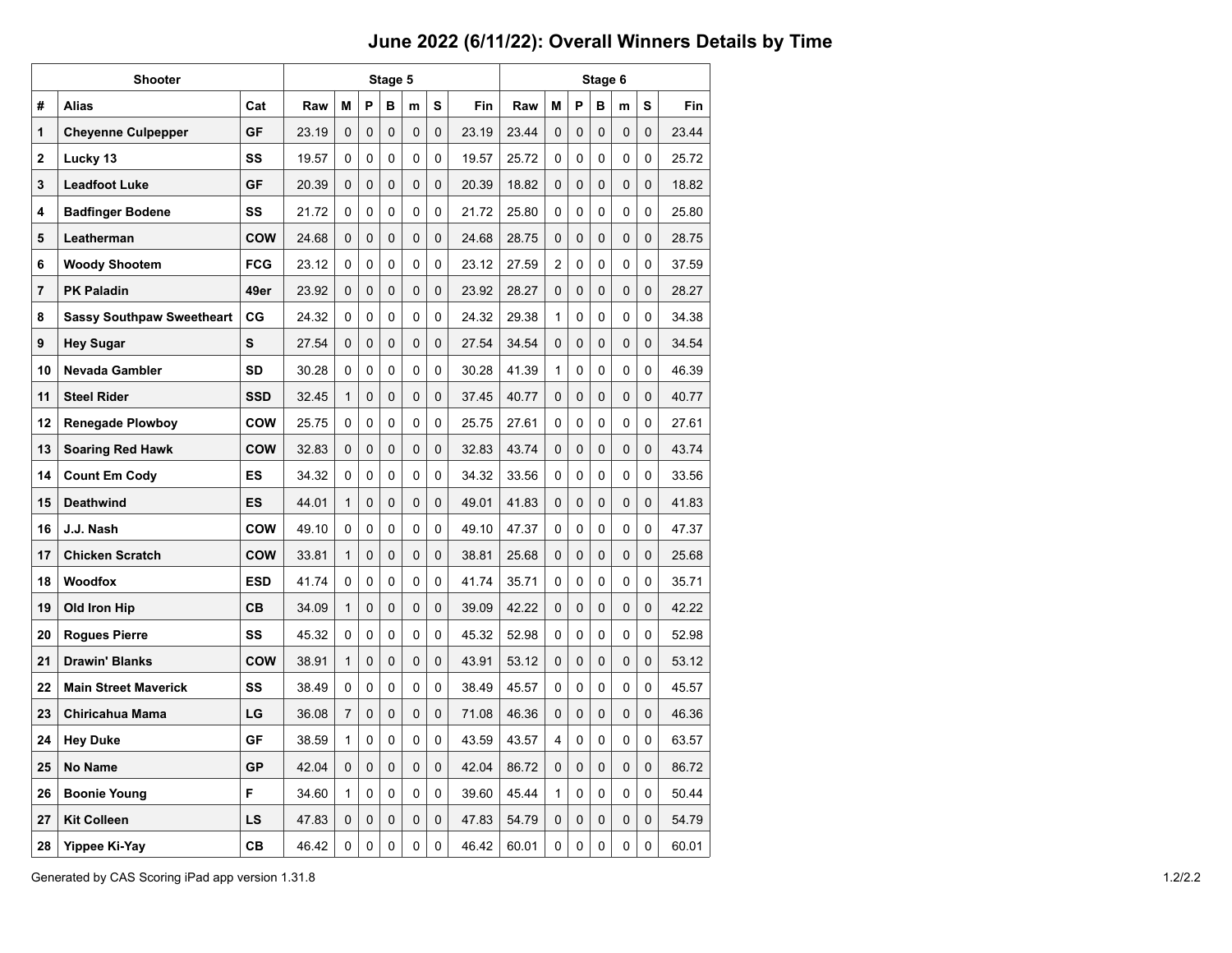|                 | Shooter                          |            |       |              | Stage 5        |   |          |                | Stage 6    |       |                |                |   |                |   |       |  |  |  |
|-----------------|----------------------------------|------------|-------|--------------|----------------|---|----------|----------------|------------|-------|----------------|----------------|---|----------------|---|-------|--|--|--|
| #               | <b>Alias</b>                     | Cat        | Raw   | M            | P              | в | m        | s              | <b>Fin</b> | Raw   | M              | P              | в | m              | s | Fin   |  |  |  |
| 1               | <b>Cheyenne Culpepper</b>        | GF         | 23.19 | $\Omega$     | $\Omega$       | 0 | 0        | 0              | 23.19      | 23.44 | 0              | 0              | 0 | 0              | 0 | 23.44 |  |  |  |
| 2               | Lucky 13                         | SS         | 19.57 | $\Omega$     | $\mathbf{0}$   | 0 | 0        | 0              | 19.57      | 25.72 | 0              | 0              | 0 | 0              | 0 | 25.72 |  |  |  |
| 3               | <b>Leadfoot Luke</b>             | GF         | 20.39 | 0            | 0              | 0 | 0        | 0              | 20.39      | 18.82 | 0              | 0              | 0 | 0              | 0 | 18.82 |  |  |  |
| 4               | <b>Badfinger Bodene</b>          | SS         | 21.72 | $\Omega$     | 0              | 0 | 0        | 0              | 21.72      | 25.80 | 0              | 0              | 0 | 0              | 0 | 25.80 |  |  |  |
| 5               | Leatherman                       | COW        | 24.68 | $\Omega$     | $\Omega$       | 0 | 0        | $\Omega$       | 24.68      | 28.75 | 0              | 0              | 0 | $\overline{0}$ | 0 | 28.75 |  |  |  |
| 6               | <b>Woody Shootem</b>             | <b>FCG</b> | 23.12 | $\Omega$     | $\mathbf{0}$   | 0 | 0        | 0              | 23.12      | 27.59 | $\overline{c}$ | 0              | 0 | 0              | 0 | 37.59 |  |  |  |
| 7               | <b>PK Paladin</b>                | 49er       | 23.92 | $\Omega$     | 0              | 0 | 0        | 0              | 23.92      | 28.27 | 0              | 0              | 0 | 0              | 0 | 28.27 |  |  |  |
| 8               | <b>Sassy Southpaw Sweetheart</b> | CG         | 24.32 | $\Omega$     | 0              | 0 | 0        | 0              | 24.32      | 29.38 | 1              | 0              | 0 | 0              | 0 | 34.38 |  |  |  |
| 9               | <b>Hey Sugar</b>                 | S          | 27.54 | $\Omega$     | $\Omega$       | 0 | $\Omega$ | $\overline{0}$ | 27.54      | 34.54 | 0              | 0              | 0 | $\overline{0}$ | 0 | 34.54 |  |  |  |
| 10              | <b>Nevada Gambler</b>            | <b>SD</b>  | 30.28 | 0            | $\mathbf{0}$   | 0 | 0        | 0              | 30.28      | 41.39 | 1              | 0              | 0 | 0              | 0 | 46.39 |  |  |  |
| 11              | <b>Steel Rider</b>               | <b>SSD</b> | 32.45 | $\mathbf{1}$ | 0              | 0 | 0        | 0              | 37.45      | 40.77 | 0              | 0              | 0 | 0              | 0 | 40.77 |  |  |  |
| 12 <sup>2</sup> | <b>Renegade Plowboy</b>          | <b>COW</b> | 25.75 | $\Omega$     | 0              | 0 | 0        | 0              | 25.75      | 27.61 | 0              | 0              | 0 | 0              | 0 | 27.61 |  |  |  |
| 13              | <b>Soaring Red Hawk</b>          | COW        | 32.83 | $\Omega$     | $\overline{0}$ | 0 | $\Omega$ | $\overline{0}$ | 32.83      | 43.74 | 0              | $\overline{0}$ | 0 | $\overline{0}$ | 0 | 43.74 |  |  |  |
| 14              | <b>Count Em Cody</b>             | ES         | 34.32 | 0            | $\Omega$       | 0 | 0        | 0              | 34.32      | 33.56 | 0              | 0              | 0 | $\Omega$       | 0 | 33.56 |  |  |  |
| 15              | <b>Deathwind</b>                 | ES         | 44.01 | $\mathbf{1}$ | $\Omega$       | 0 | 0        | 0              | 49.01      | 41.83 | 0              | 0              | 0 | 0              | 0 | 41.83 |  |  |  |
| 16              | J.J. Nash                        | <b>COW</b> | 49.10 | $\Omega$     | 0              | 0 | 0        | 0              | 49.10      | 47.37 | 0              | 0              | 0 | 0              | 0 | 47.37 |  |  |  |
| 17              | <b>Chicken Scratch</b>           | COW        | 33.81 | $\mathbf{1}$ | $\Omega$       | 0 | 0        | $\mathbf 0$    | 38.81      | 25.68 | 0              | $\overline{0}$ | 0 | $\overline{0}$ | 0 | 25.68 |  |  |  |
| 18              | <b>Woodfox</b>                   | <b>ESD</b> | 41.74 | $\Omega$     | $\Omega$       | 0 | 0        | 0              | 41.74      | 35.71 | 0              | 0              | 0 | 0              | 0 | 35.71 |  |  |  |
| 19              | Old Iron Hip                     | CВ         | 34.09 | $\mathbf{1}$ | $\Omega$       | 0 | 0        | 0              | 39.09      | 42.22 | 0              | 0              | 0 | 0              | 0 | 42.22 |  |  |  |
| 20              | <b>Roques Pierre</b>             | SS         | 45.32 | $\Omega$     | $\Omega$       | 0 | 0        | 0              | 45.32      | 52.98 | 0              | 0              | 0 | $\overline{0}$ | 0 | 52.98 |  |  |  |
| 21              | <b>Drawin' Blanks</b>            | COW        | 38.91 | 1            | 0              | 0 | 0        | $\mathbf 0$    | 43.91      | 53.12 | 0              | $\overline{0}$ | 0 | $\overline{0}$ | 0 | 53.12 |  |  |  |
| 22              | <b>Main Street Maverick</b>      | SS         | 38.49 | $\Omega$     | $\Omega$       | 0 | 0        | 0              | 38.49      | 45.57 | 0              | 0              | 0 | 0              | 0 | 45.57 |  |  |  |
| 23              | <b>Chiricahua Mama</b>           | LG         | 36.08 | 7            | 0              | 0 | 0        | $\Omega$       | 71.08      | 46.36 | 0              | 0              | 0 | 0              | 0 | 46.36 |  |  |  |
| 24              | <b>Hey Duke</b>                  | <b>GF</b>  | 38.59 | $\mathbf{1}$ | $\Omega$       | 0 | 0        | 0              | 43.59      | 43.57 | 4              | 0              | 0 | $\overline{0}$ | 0 | 63.57 |  |  |  |
| 25              | <b>No Name</b>                   | GP         | 42.04 | 0            | 0              | 0 | 0        | 0              | 42.04      | 86.72 | 0              | 0              | 0 | $\overline{0}$ | 0 | 86.72 |  |  |  |
| 26              | <b>Boonie Young</b>              | F          | 34.60 | $\mathbf{1}$ | $\Omega$       | 0 | 0        | 0              | 39.60      | 45.44 | 1              | 0              | 0 | 0              | 0 | 50.44 |  |  |  |
| 27              | <b>Kit Colleen</b>               | LS         | 47.83 | $\Omega$     | 0              | 0 | 0        | $\Omega$       | 47.83      | 54.79 | 0              | 0              | 0 | 0              | 0 | 54.79 |  |  |  |
| 28              | Yippee Ki-Yay                    | <b>CB</b>  | 46.42 | $\mathbf 0$  | $\Omega$       | 0 | 0        | 0              | 46.42      | 60.01 | 0              | $\overline{0}$ | 0 | $\Omega$       | 0 | 60.01 |  |  |  |

Generated by CAS Scoring iPad app version 1.31.8 1.2/2.2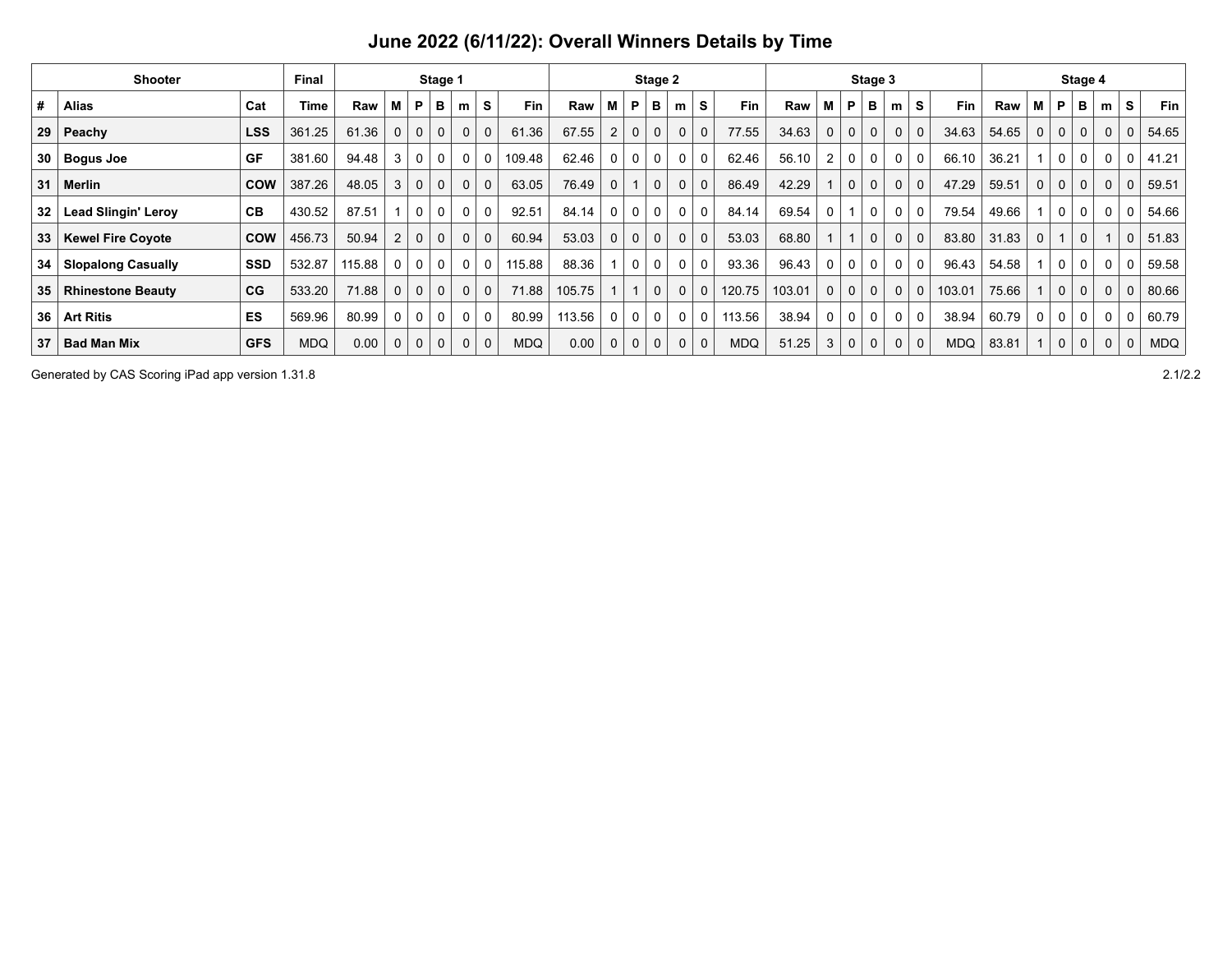| <b>Shooter</b>  |                            |            |            |        |                |              |             |              | Stage 3     |            |        | Stage 4 |             |             |                |             |            |        |              |   |             |   |             |            |       |              |             |              |              |             |            |
|-----------------|----------------------------|------------|------------|--------|----------------|--------------|-------------|--------------|-------------|------------|--------|---------|-------------|-------------|----------------|-------------|------------|--------|--------------|---|-------------|---|-------------|------------|-------|--------------|-------------|--------------|--------------|-------------|------------|
| #               | <b>Alias</b>               | Cat        | Time       | Raw    | м              | P            | в           | m            | S           | Fin        | Raw    | M       | P           | в           | m              | S           | Fin        | Raw    | M            | P | в           | m | S           | Fin        | Raw   | М            | P           | в            | m            | S           | <b>Fin</b> |
| 29 <sup>1</sup> | Peachy                     | <b>LSS</b> | 361.25     | 61.36  | $\Omega$       | $\mathbf 0$  | $\mathbf 0$ | $\Omega$     | $\mathbf 0$ | 61.36      | 67.55  | 2       | 0           | $\mathbf 0$ | $\mathbf 0$    | $\mathbf 0$ | 77.55      | 34.63  | $\Omega$     | 0 | $\mathbf 0$ | 0 | $\mathbf 0$ | 34.63      | 54.65 | $\mathbf{0}$ | $\mathbf 0$ | 0            | $\mathbf 0$  | $\mathbf 0$ | 54.65      |
| 30              | <b>Bogus Joe</b>           | <b>GF</b>  | 381.60     | 94.48  | 3              | 0            | 0           | $\mathbf{0}$ | 0           | 109.48     | 62.46  |         | 0           | 0           | 0              | $\mathbf 0$ | 62.46      | 56.10  |              | 0 | 0           | 0 | $\mathbf 0$ | 66.10      | 36.21 |              | 0           | 0            | 0            | 0           | 41.21      |
| 31              | Merlin                     | <b>COW</b> | 387.26     | 48.05  | 3              | $\mathbf{0}$ | $\mathbf 0$ | $\Omega$     | $\mathbf 0$ | 63.05      | 76.49  | 0       |             | 0           | 0              | $\mathbf 0$ | 86.49      | 42.29  |              | 0 | $\mathbf 0$ | 0 | $\mathbf 0$ | 47.29      | 59.51 | 0            | $\mathbf 0$ | 0            | $\mathbf{0}$ | 0           | 59.51      |
| 32              | <b>Lead Slingin' Leroy</b> | CВ         | 430.52     | 87.51  |                | $\Omega$     | 0           | $\mathbf{0}$ | 0           | 92.51      | 84.14  | 0       | 0           | 0           | $\mathbf 0$    | 0           | 84.14      | 69.54  | O            |   | $\Omega$    | 0 | $\Omega$    | 79.54      | 49.66 |              | $\Omega$    | 0            | 0            | 0           | 54.66      |
| 33 <sub>o</sub> | <b>Kewel Fire Coyote</b>   | <b>COW</b> | 456.73     | 50.94  | $\overline{2}$ | $\mathbf 0$  | $\mathbf 0$ | $\Omega$     | $\mathbf 0$ | 60.94      | 53.03  | 0       | 0           | 0           | $\mathbf 0$    | $\mathbf 0$ | 53.03      | 68.80  |              |   | $\mathbf 0$ | 0 | $\mathbf 0$ | 83.80      | 31.83 | $\mathbf 0$  |             | 0            |              | $\mathbf 0$ | 51.83      |
| 34              | <b>Slopalong Casually</b>  | <b>SSD</b> | 532.87     | 115.88 | $\mathbf{0}$   | $\Omega$     | 0           | $\Omega$     | 0           | 115.88     | 88.36  |         | 0           | 0           | $\mathbf 0$    | 0           | 93.36      | 96.43  | 0            | 0 | $\mathbf 0$ | 0 | $\mathbf 0$ | 96.43      | 54.58 |              | 0           | 0            | $\Omega$     | 0           | 59.58      |
| 35              | <b>Rhinestone Beauty</b>   | CG         | 533.20     | 71.88  | $\Omega$       | $\Omega$     | $\mathbf 0$ | $\Omega$     | $\mathbf 0$ | 71.88      | 105.75 |         |             | $\mathbf 0$ | $\mathbf 0$    | $\mathbf 0$ | 120.75     | 103.01 | $\mathbf{0}$ | 0 | $\mathbf 0$ | 0 | $\mathbf 0$ | 103.01     | 75.66 |              | $\mathbf 0$ | 0            | $\mathbf 0$  | $\mathbf 0$ | 80.66      |
| 36              | <b>Art Ritis</b>           | <b>ES</b>  | 569.96     | 80.99  | 0              | 0            | 0           | $\mathbf{0}$ | 0           | 80.99      | 113.56 | 0       | 0           | 0           | 0 <sup>1</sup> | 0           | 113.56     | 38.94  | 0            | 0 | $\mathbf 0$ | 0 | 0           | 38.94      | 60.79 | $\mathbf{0}$ | 0           | $\mathbf{0}$ | 0            | 0           | 60.79      |
| 37              | <b>Bad Man Mix</b>         | <b>GFS</b> | <b>MDQ</b> | 0.00   | 0              | $\mathbf 0$  | $\mathbf 0$ | $\mathbf 0$  | $\mathbf 0$ | <b>MDQ</b> | 0.00   | 0       | $\mathbf 0$ | 0           | $\mathbf 0$    | $\mathbf 0$ | <b>MDQ</b> | 51.25  | 3            | 0 | $\mathbf 0$ | 0 | $\mathbf 0$ | <b>MDQ</b> | 83.81 |              | $\mathbf 0$ | 0            | $\mathbf 0$  | $\mathbf 0$ | <b>MDQ</b> |

Generated by CAS Scoring iPad app version 1.31.8 2.1/2.2